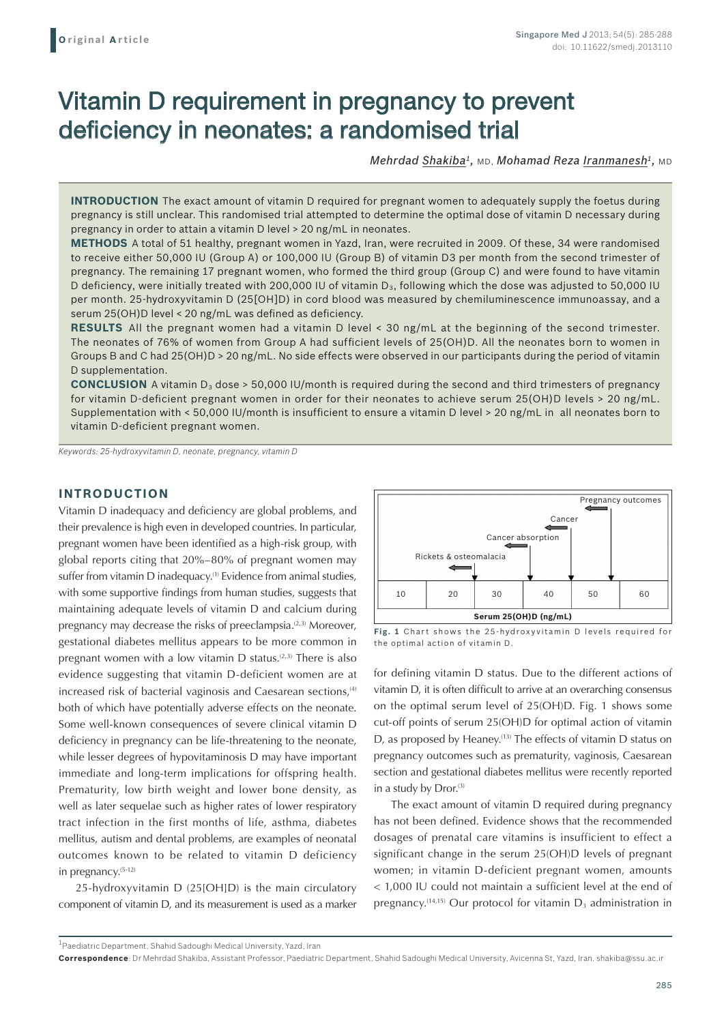# Vitamin D requirement in pregnancy to prevent deficiency in neonates: a randomised trial

*Mehrdad Shakiba1,* MD, *Mohamad Reza Iranmanesh1,* MD

**INTRODUCTION** The exact amount of vitamin D required for pregnant women to adequately supply the foetus during pregnancy is still unclear. This randomised trial attempted to determine the optimal dose of vitamin D necessary during pregnancy in order to attain a vitamin D level > 20 ng/mL in neonates.

**METHODS** A total of 51 healthy, pregnant women in Yazd, Iran, were recruited in 2009. Of these, 34 were randomised to receive either 50,000 IU (Group A) or 100,000 IU (Group B) of vitamin D3 per month from the second trimester of pregnancy. The remaining 17 pregnant women, who formed the third group (Group C) and were found to have vitamin D deficiency, were initially treated with 200,000 IU of vitamin D<sub>3</sub>, following which the dose was adjusted to 50,000 IU per month. 25-hydroxyvitamin D (25[OH]D) in cord blood was measured by chemiluminescence immunoassay, and a serum 25(OH)D level < 20 ng/mL was defined as deficiency.

**RESULTS** All the pregnant women had a vitamin D level < 30 ng/mL at the beginning of the second trimester. The neonates of 76% of women from Group A had sufficient levels of 25(OH)D. All the neonates born to women in Groups B and C had 25(OH)D > 20 ng/mL. No side effects were observed in our participants during the period of vitamin D supplementation.

**CONCLUSION** A vitamin  $D_3$  dose  $> 50,000$  IU/month is required during the second and third trimesters of pregnancy for vitamin D-deficient pregnant women in order for their neonates to achieve serum 25(OH)D levels > 20 ng/mL. Supplementation with < 50,000 IU/month is insufficient to ensure a vitamin D level > 20 ng/mL in all neonates born to vitamin D-deficient pregnant women.

*Keywords: 25-hydroxyvitamin D, neonate, pregnancy, vitamin D*

### **INTRODUCTION**

Vitamin D inadequacy and deficiency are global problems, and their prevalence is high even in developed countries. In particular, pregnant women have been identified as a high-risk group, with global reports citing that 20%–80% of pregnant women may suffer from vitamin D inadequacy.<sup>(1)</sup> Evidence from animal studies, with some supportive findings from human studies, suggests that maintaining adequate levels of vitamin D and calcium during pregnancy may decrease the risks of preeclampsia.<sup>(2,3)</sup> Moreover, gestational diabetes mellitus appears to be more common in pregnant women with a low vitamin  $D$  status.<sup>(2,3)</sup> There is also evidence suggesting that vitamin D-deficient women are at increased risk of bacterial vaginosis and Caesarean sections,<sup>(4)</sup> both of which have potentially adverse effects on the neonate. Some well-known consequences of severe clinical vitamin D deficiency in pregnancy can be life-threatening to the neonate, while lesser degrees of hypovitaminosis D may have important immediate and long-term implications for offspring health. Prematurity, low birth weight and lower bone density, as well as later sequelae such as higher rates of lower respiratory tract infection in the first months of life, asthma, diabetes mellitus, autism and dental problems, are examples of neonatal outcomes known to be related to vitamin D deficiency in pregnancy.(5-12)

25-hydroxyvitamin D (25[OH]D) is the main circulatory component of vitamin D, and its measurement is used as a marker





for defining vitamin D status. Due to the different actions of vitamin D, it is often difficult to arrive at an overarching consensus on the optimal serum level of 25(OH)D. Fig. 1 shows some cut-off points of serum 25(OH)D for optimal action of vitamin D, as proposed by Heaney.(13) The effects of vitamin D status on pregnancy outcomes such as prematurity, vaginosis, Caesarean section and gestational diabetes mellitus were recently reported in a study by Dror.<sup>(3)</sup>

The exact amount of vitamin D required during pregnancy has not been defined. Evidence shows that the recommended dosages of prenatal care vitamins is insufficient to effect a significant change in the serum 25(OH)D levels of pregnant women; in vitamin D-deficient pregnant women, amounts < 1,000 IU could not maintain a sufficient level at the end of pregnancy.<sup>(14,15)</sup> Our protocol for vitamin  $D_3$  administration in

1Paediatric Department, Shahid Sadoughi Medical University, Yazd, Iran

**Correspondence**: Dr Mehrdad Shakiba, Assistant Professor, Paediatric Department, Shahid Sadoughi Medical University, Avicenna St, Yazd, Iran. shakiba@ssu.ac.ir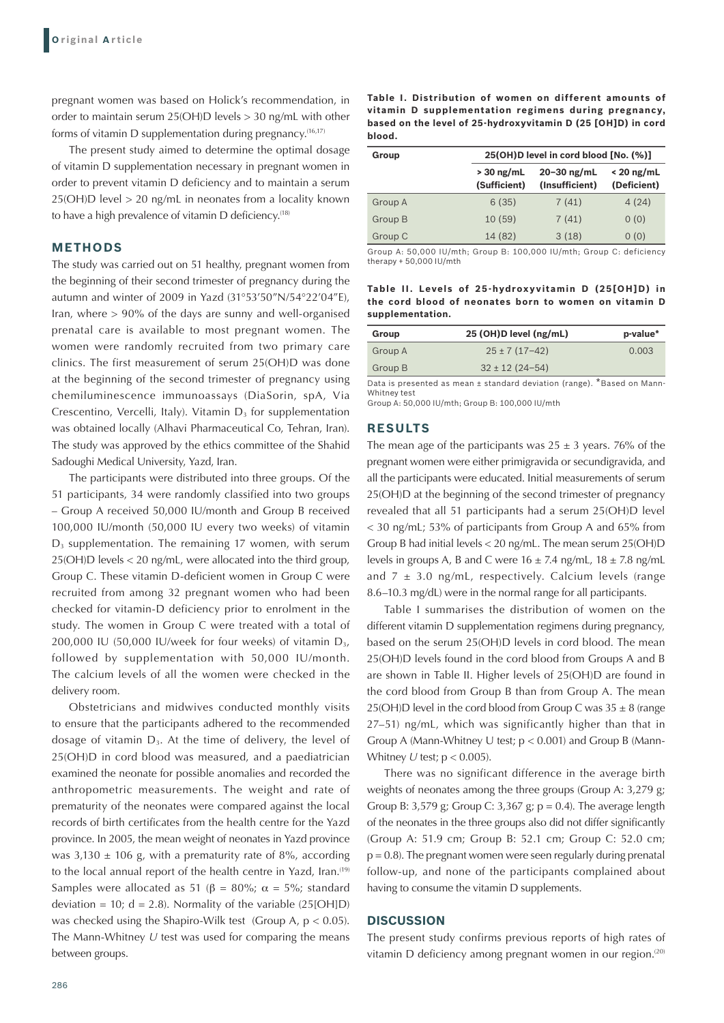pregnant women was based on Holick's recommendation, in order to maintain serum 25(OH)D levels > 30 ng/mL with other forms of vitamin D supplementation during pregnancy.(16,17)

The present study aimed to determine the optimal dosage of vitamin D supplementation necessary in pregnant women in order to prevent vitamin D deficiency and to maintain a serum 25(OH)D level > 20 ng/mL in neonates from a locality known to have a high prevalence of vitamin D deficiency.<sup>(18)</sup>

### **METHODS**

The study was carried out on 51 healthy, pregnant women from the beginning of their second trimester of pregnancy during the autumn and winter of 2009 in Yazd (31°53'50"N/54°22'04"E), Iran, where > 90% of the days are sunny and well-organised prenatal care is available to most pregnant women. The women were randomly recruited from two primary care clinics. The first measurement of serum 25(OH)D was done at the beginning of the second trimester of pregnancy using chemiluminescence immunoassays (DiaSorin, spA, Via Crescentino, Vercelli, Italy). Vitamin  $D_3$  for supplementation was obtained locally (Alhavi Pharmaceutical Co, Tehran, Iran). The study was approved by the ethics committee of the Shahid Sadoughi Medical University, Yazd, Iran.

The participants were distributed into three groups. Of the 51 participants, 34 were randomly classified into two groups – Group A received 50,000 IU/month and Group B received 100,000 IU/month (50,000 IU every two weeks) of vitamin D<sub>3</sub> supplementation. The remaining 17 women, with serum 25(OH)D levels < 20 ng/mL, were allocated into the third group, Group C. These vitamin D-deficient women in Group C were recruited from among 32 pregnant women who had been checked for vitamin-D deficiency prior to enrolment in the study. The women in Group C were treated with a total of 200,000 IU (50,000 IU/week for four weeks) of vitamin  $D_3$ , followed by supplementation with 50,000 IU/month. The calcium levels of all the women were checked in the delivery room.

Obstetricians and midwives conducted monthly visits to ensure that the participants adhered to the recommended dosage of vitamin  $D_3$ . At the time of delivery, the level of 25(OH)D in cord blood was measured, and a paediatrician examined the neonate for possible anomalies and recorded the anthropometric measurements. The weight and rate of prematurity of the neonates were compared against the local records of birth certificates from the health centre for the Yazd province. In 2005, the mean weight of neonates in Yazd province was  $3,130 \pm 106$  g, with a prematurity rate of 8%, according to the local annual report of the health centre in Yazd, Iran.<sup>(19)</sup> Samples were allocated as 51 ( $\beta$  = 80%;  $\alpha$  = 5%; standard deviation = 10;  $d = 2.8$ ). Normality of the variable  $(25[OH]D)$ was checked using the Shapiro-Wilk test (Group A,  $p < 0.05$ ). The Mann-Whitney *U* test was used for comparing the means between groups.

**Table I. Distribution of women on different amounts of vitamin D supplementation regimens during pregnancy, based on the level of 25-hydroxyvitamin D (25 [OH]D) in cord blood.**

| Group   | 25(OH)D level in cord blood [No. (%)] |                                   |                             |
|---------|---------------------------------------|-----------------------------------|-----------------------------|
|         | $>$ 30 ng/mL<br>(Sufficient)          | $20 - 30$ ng/mL<br>(Insufficient) | $< 20$ ng/mL<br>(Deficient) |
| Group A | 6(35)                                 | 7(41)                             | 4(24)                       |
| Group B | 10(59)                                | 7(41)                             | 0(0)                        |
| Group C | 14 (82)                               | 3(18)                             | 0(0)                        |

Group A: 50,000 IU/mth; Group B: 100,000 IU/mth; Group C: deficiency therapy + 50,000 IU/mth

**Table II. Levels of 25 -hydroxyvitamin D (25[OH]D) in the cord blood of neonates born to women on vitamin D supplementation.**

| Group   | 25 (OH)D level (ng/mL) | p-value* |
|---------|------------------------|----------|
| Group A | $25 \pm 7(17 - 42)$    | 0.003    |
| Group B | $32 \pm 12$ (24-54)    |          |

Data is presented as mean ± standard deviation (range). \*Based on Mann-Whitney test

Group A: 50,000 IU/mth; Group B: 100,000 IU/mth

#### **RESULTS**

The mean age of the participants was  $25 \pm 3$  years. 76% of the pregnant women were either primigravida or secundigravida, and all the participants were educated. Initial measurements of serum 25(OH)D at the beginning of the second trimester of pregnancy revealed that all 51 participants had a serum 25(OH)D level < 30 ng/mL; 53% of participants from Group A and 65% from Group B had initial levels < 20 ng/mL. The mean serum 25(OH)D levels in groups A, B and C were  $16 \pm 7.4$  ng/mL,  $18 \pm 7.8$  ng/mL and  $7 \pm 3.0$  ng/mL, respectively. Calcium levels (range 8.6–10.3 mg/dL) were in the normal range for all participants.

Table I summarises the distribution of women on the different vitamin D supplementation regimens during pregnancy, based on the serum 25(OH)D levels in cord blood. The mean 25(OH)D levels found in the cord blood from Groups A and B are shown in Table II. Higher levels of 25(OH)D are found in the cord blood from Group B than from Group A. The mean 25(OH)D level in the cord blood from Group C was  $35 \pm 8$  (range 27–51) ng/mL, which was significantly higher than that in Group A (Mann-Whitney U test;  $p < 0.001$ ) and Group B (Mann-Whitney *U* test; p < 0.005).

There was no significant difference in the average birth weights of neonates among the three groups (Group A: 3,279 g; Group B: 3,579 g; Group C: 3,367 g;  $p = 0.4$ ). The average length of the neonates in the three groups also did not differ significantly (Group A: 51.9 cm; Group B: 52.1 cm; Group C: 52.0 cm;  $p = 0.8$ ). The pregnant women were seen regularly during prenatal follow-up, and none of the participants complained about having to consume the vitamin D supplements.

#### **DISCUSSION**

The present study confirms previous reports of high rates of vitamin D deficiency among pregnant women in our region.<sup>(20)</sup>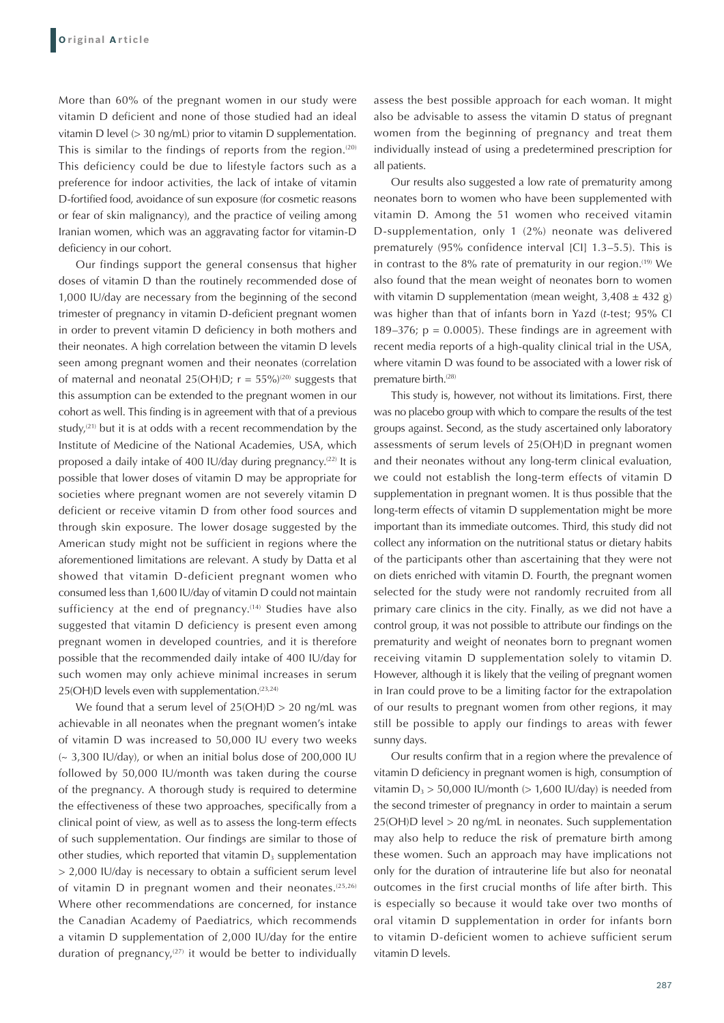More than 60% of the pregnant women in our study were vitamin D deficient and none of those studied had an ideal vitamin D level (> 30 ng/mL) prior to vitamin D supplementation. This is similar to the findings of reports from the region. $(20)$ This deficiency could be due to lifestyle factors such as a preference for indoor activities, the lack of intake of vitamin D-fortified food, avoidance of sun exposure (for cosmetic reasons or fear of skin malignancy), and the practice of veiling among Iranian women, which was an aggravating factor for vitamin-D deficiency in our cohort.

Our findings support the general consensus that higher doses of vitamin D than the routinely recommended dose of 1,000 IU/day are necessary from the beginning of the second trimester of pregnancy in vitamin D-deficient pregnant women in order to prevent vitamin D deficiency in both mothers and their neonates. A high correlation between the vitamin D levels seen among pregnant women and their neonates (correlation of maternal and neonatal 25(OH)D;  $r = 55\%$ <sup>(20)</sup> suggests that this assumption can be extended to the pregnant women in our cohort as well. This finding is in agreement with that of a previous study, $(21)$  but it is at odds with a recent recommendation by the Institute of Medicine of the National Academies, USA, which proposed a daily intake of 400 IU/day during pregnancy.(22) It is possible that lower doses of vitamin D may be appropriate for societies where pregnant women are not severely vitamin D deficient or receive vitamin D from other food sources and through skin exposure. The lower dosage suggested by the American study might not be sufficient in regions where the aforementioned limitations are relevant. A study by Datta et al showed that vitamin D-deficient pregnant women who consumed less than 1,600 IU/day of vitamin D could not maintain sufficiency at the end of pregnancy.<sup>(14)</sup> Studies have also suggested that vitamin D deficiency is present even among pregnant women in developed countries, and it is therefore possible that the recommended daily intake of 400 IU/day for such women may only achieve minimal increases in serum 25(OH)D levels even with supplementation.<sup>(23,24)</sup>

We found that a serum level of  $25(OH)D > 20$  ng/mL was achievable in all neonates when the pregnant women's intake of vitamin D was increased to 50,000 IU every two weeks  $\sim$  3,300 IU/day), or when an initial bolus dose of 200,000 IU followed by 50,000 IU/month was taken during the course of the pregnancy. A thorough study is required to determine the effectiveness of these two approaches, specifically from a clinical point of view, as well as to assess the long-term effects of such supplementation. Our findings are similar to those of other studies, which reported that vitamin  $D_3$  supplementation > 2,000 IU/day is necessary to obtain a sufficient serum level of vitamin  $D$  in pregnant women and their neonates.<sup>(25,26)</sup> Where other recommendations are concerned, for instance the Canadian Academy of Paediatrics, which recommends a vitamin D supplementation of 2,000 IU/day for the entire duration of pregnancy,<sup>(27)</sup> it would be better to individually

assess the best possible approach for each woman. It might also be advisable to assess the vitamin D status of pregnant women from the beginning of pregnancy and treat them individually instead of using a predetermined prescription for all patients.

Our results also suggested a low rate of prematurity among neonates born to women who have been supplemented with vitamin D. Among the 51 women who received vitamin D-supplementation, only 1 (2%) neonate was delivered prematurely (95% confidence interval [CI] 1.3–5.5). This is in contrast to the 8% rate of prematurity in our region.<sup> $(19)$ </sup> We also found that the mean weight of neonates born to women with vitamin D supplementation (mean weight,  $3,408 \pm 432$  g) was higher than that of infants born in Yazd (*t*-test; 95% CI 189–376;  $p = 0.0005$ ). These findings are in agreement with recent media reports of a high-quality clinical trial in the USA, where vitamin D was found to be associated with a lower risk of premature birth.(28)

This study is, however, not without its limitations. First, there was no placebo group with which to compare the results of the test groups against. Second, as the study ascertained only laboratory assessments of serum levels of 25(OH)D in pregnant women and their neonates without any long-term clinical evaluation, we could not establish the long-term effects of vitamin D supplementation in pregnant women. It is thus possible that the long-term effects of vitamin D supplementation might be more important than its immediate outcomes. Third, this study did not collect any information on the nutritional status or dietary habits of the participants other than ascertaining that they were not on diets enriched with vitamin D. Fourth, the pregnant women selected for the study were not randomly recruited from all primary care clinics in the city. Finally, as we did not have a control group, it was not possible to attribute our findings on the prematurity and weight of neonates born to pregnant women receiving vitamin D supplementation solely to vitamin D. However, although it is likely that the veiling of pregnant women in Iran could prove to be a limiting factor for the extrapolation of our results to pregnant women from other regions, it may still be possible to apply our findings to areas with fewer sunny days.

Our results confirm that in a region where the prevalence of vitamin D deficiency in pregnant women is high, consumption of vitamin  $D_3 > 50,000$  IU/month ( $> 1,600$  IU/day) is needed from the second trimester of pregnancy in order to maintain a serum 25(OH)D level > 20 ng/mL in neonates. Such supplementation may also help to reduce the risk of premature birth among these women. Such an approach may have implications not only for the duration of intrauterine life but also for neonatal outcomes in the first crucial months of life after birth. This is especially so because it would take over two months of oral vitamin D supplementation in order for infants born to vitamin D-deficient women to achieve sufficient serum vitamin D levels.